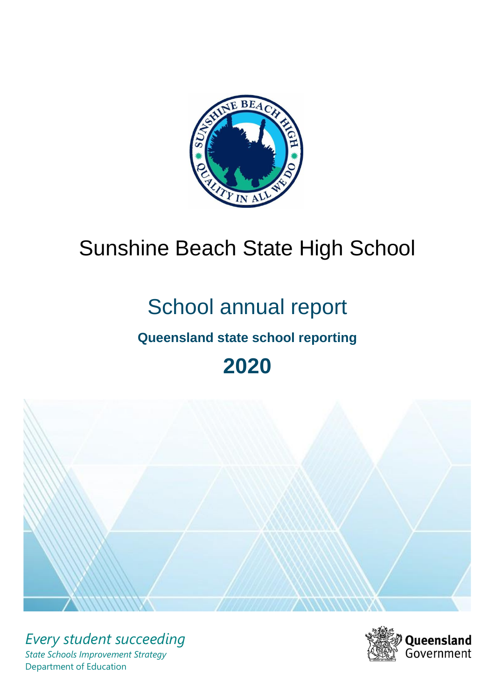

# Sunshine Beach State High School

# School annual report

# **Queensland state school reporting**

**2020**



*Every student succeeding State Schools Improvement Strategy* Department of Education

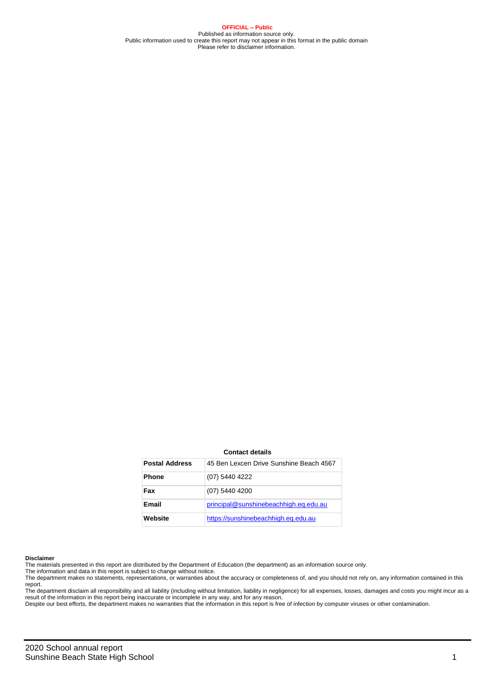**OFFICIAL – Public** Published as information source only. Public information used to create this report may not appear in this format in the public domain Please refer to disclaimer information.

#### **Contact details**

| <b>Postal Address</b> | 45 Ben Lexcen Drive Sunshine Beach 4567 |
|-----------------------|-----------------------------------------|
| <b>Phone</b>          | (07) 5440 4222                          |
| Fax                   | (07) 5440 4200                          |
| Email                 | principal@sunshinebeachhigh.eq.edu.au   |
| Website               | https://sunshinebeachhigh.eg.edu.au     |

#### **Disclaimer**

The materials presented in this report are distributed by the Department of Education (the department) as an information source only. The information and data in this report is subject to change without notice.

The department makes no statements, representations, or warranties about the accuracy or completeness of, and you should not rely on, any information contained in this report.

The department disclaim all responsibility and all liability (including without limitation, liability in negligence) for all expenses, losses, damages and costs you might incur as a<br>result of the information in this report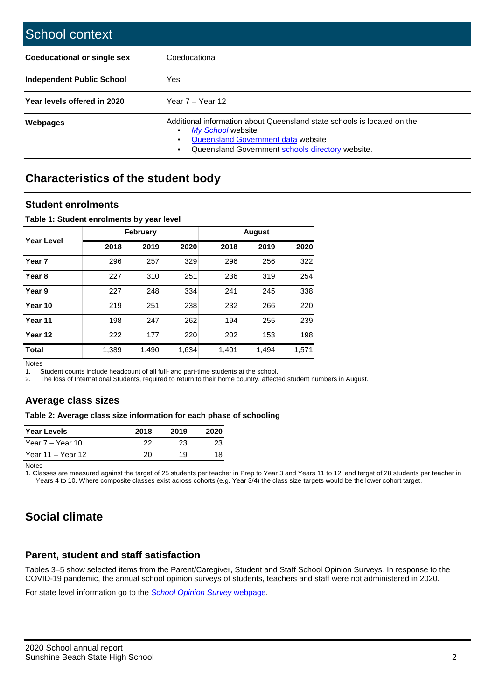| School context                   |                                                                                                                                                                                              |
|----------------------------------|----------------------------------------------------------------------------------------------------------------------------------------------------------------------------------------------|
| Coeducational or single sex      | Coeducational                                                                                                                                                                                |
| <b>Independent Public School</b> | Yes                                                                                                                                                                                          |
| Year levels offered in 2020      | Year $7 -$ Year 12                                                                                                                                                                           |
| <b>Webpages</b>                  | Additional information about Queensland state schools is located on the:<br>My School website<br>٠<br>Queensland Government data website<br>Queensland Government schools directory website. |

# **Characteristics of the student body**

### **Student enrolments**

### **Table 1: Student enrolments by year level**

|                   |       | <b>February</b> |       | <b>August</b> |       |       |  |
|-------------------|-------|-----------------|-------|---------------|-------|-------|--|
| Year Level        | 2018  | 2019            | 2020  | 2018          | 2019  | 2020  |  |
| Year 7            | 296   | 257             | 329   | 296           | 256   | 322   |  |
| Year <sub>8</sub> | 227   | 310             | 251   | 236           | 319   | 254   |  |
| Year 9            | 227   | 248             | 334   | 241           | 245   | 338   |  |
| Year 10           | 219   | 251             | 238   | 232           | 266   | 220   |  |
| Year 11           | 198   | 247             | 262   | 194           | 255   | 239   |  |
| Year 12           | 222   | 177             | 220   | 202           | 153   | 198   |  |
| <b>Total</b>      | 1,389 | 1,490           | 1,634 | 1,401         | 1,494 | 1,571 |  |

Notes

1. Student counts include headcount of all full- and part-time students at the school.<br>2. The loss of International Students, required to return to their home country, affect

2. The loss of International Students, required to return to their home country, affected student numbers in August.

### **Average class sizes**

### **Table 2: Average class size information for each phase of schooling**

| <b>Year Levels</b> | 2018 | 2019 | 2020 |
|--------------------|------|------|------|
| Year 7 – Year 10   | 22.  | 23   | 23   |
| Year 11 – Year 12  | 20.  | 19   | 18   |

Notes

1. Classes are measured against the target of 25 students per teacher in Prep to Year 3 and Years 11 to 12, and target of 28 students per teacher in Years 4 to 10. Where composite classes exist across cohorts (e.g. Year 3/4) the class size targets would be the lower cohort target.

## **Social climate**

### **Parent, student and staff satisfaction**

Tables 3–5 show selected items from the Parent/Caregiver, Student and Staff School Opinion Surveys. In response to the COVID-19 pandemic, the annual school opinion surveys of students, teachers and staff were not administered in 2020.

For state level information go to the *[School Opinion Survey](https://qed.qld.gov.au/publications/reports/statistics/schooling/schools/schoolopinionsurvey)* [webpage.](https://qed.qld.gov.au/publications/reports/statistics/schooling/schools/schoolopinionsurvey)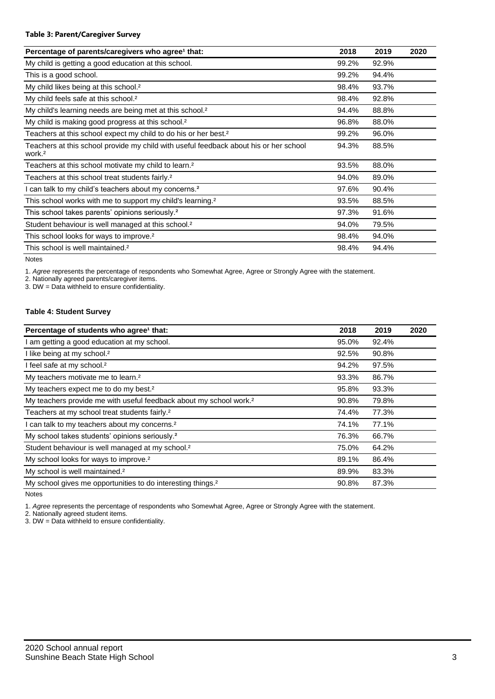### **Table 3: Parent/Caregiver Survey**

| Percentage of parents/caregivers who agree <sup>1</sup> that:                                               | 2018  | 2019  | 2020 |
|-------------------------------------------------------------------------------------------------------------|-------|-------|------|
| My child is getting a good education at this school.                                                        | 99.2% | 92.9% |      |
| This is a good school.                                                                                      | 99.2% | 94.4% |      |
| My child likes being at this school. <sup>2</sup>                                                           | 98.4% | 93.7% |      |
| My child feels safe at this school. <sup>2</sup>                                                            | 98.4% | 92.8% |      |
| My child's learning needs are being met at this school. <sup>2</sup>                                        | 94.4% | 88.8% |      |
| My child is making good progress at this school. <sup>2</sup>                                               | 96.8% | 88.0% |      |
| Teachers at this school expect my child to do his or her best. <sup>2</sup>                                 | 99.2% | 96.0% |      |
| Teachers at this school provide my child with useful feedback about his or her school<br>work. <sup>2</sup> | 94.3% | 88.5% |      |
| Teachers at this school motivate my child to learn. <sup>2</sup>                                            | 93.5% | 88.0% |      |
| Teachers at this school treat students fairly. <sup>2</sup>                                                 | 94.0% | 89.0% |      |
| I can talk to my child's teachers about my concerns. <sup>2</sup>                                           | 97.6% | 90.4% |      |
| This school works with me to support my child's learning. <sup>2</sup>                                      | 93.5% | 88.5% |      |
| This school takes parents' opinions seriously. <sup>2</sup>                                                 | 97.3% | 91.6% |      |
| Student behaviour is well managed at this school. <sup>2</sup>                                              | 94.0% | 79.5% |      |
| This school looks for ways to improve. <sup>2</sup>                                                         | 98.4% | 94.0% |      |
| This school is well maintained. <sup>2</sup>                                                                | 98.4% | 94.4% |      |

Notes

1. *Agree* represents the percentage of respondents who Somewhat Agree, Agree or Strongly Agree with the statement.

2. Nationally agreed parents/caregiver items.

3. DW = Data withheld to ensure confidentiality.

### **Table 4: Student Survey**

| Percentage of students who agree <sup>1</sup> that:                            | 2018  | 2019  | 2020 |
|--------------------------------------------------------------------------------|-------|-------|------|
| I am getting a good education at my school.                                    | 95.0% | 92.4% |      |
| I like being at my school. <sup>2</sup>                                        | 92.5% | 90.8% |      |
| I feel safe at my school. <sup>2</sup>                                         | 94.2% | 97.5% |      |
| My teachers motivate me to learn. <sup>2</sup>                                 | 93.3% | 86.7% |      |
| My teachers expect me to do my best. <sup>2</sup>                              | 95.8% | 93.3% |      |
| My teachers provide me with useful feedback about my school work. <sup>2</sup> | 90.8% | 79.8% |      |
| Teachers at my school treat students fairly. <sup>2</sup>                      | 74.4% | 77.3% |      |
| I can talk to my teachers about my concerns. <sup>2</sup>                      | 74.1% | 77.1% |      |
| My school takes students' opinions seriously. <sup>2</sup>                     | 76.3% | 66.7% |      |
| Student behaviour is well managed at my school. <sup>2</sup>                   | 75.0% | 64.2% |      |
| My school looks for ways to improve. <sup>2</sup>                              | 89.1% | 86.4% |      |
| My school is well maintained. <sup>2</sup>                                     | 89.9% | 83.3% |      |
| My school gives me opportunities to do interesting things. <sup>2</sup>        | 90.8% | 87.3% |      |

Notes

1. *Agree* represents the percentage of respondents who Somewhat Agree, Agree or Strongly Agree with the statement.

2. Nationally agreed student items.

3. DW = Data withheld to ensure confidentiality.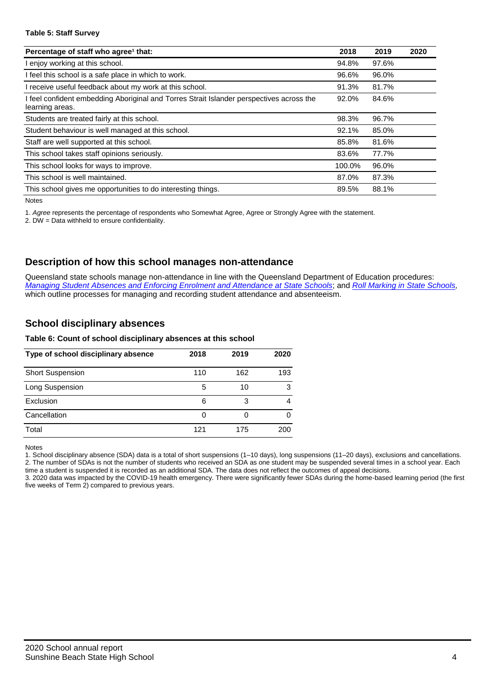### **Table 5: Staff Survey**

| Percentage of staff who agree <sup>1</sup> that:                                                          | 2018   | 2019  | 2020 |
|-----------------------------------------------------------------------------------------------------------|--------|-------|------|
| I enjoy working at this school.                                                                           | 94.8%  | 97.6% |      |
| I feel this school is a safe place in which to work.                                                      | 96.6%  | 96.0% |      |
| receive useful feedback about my work at this school.                                                     | 91.3%  | 81.7% |      |
| feel confident embedding Aboriginal and Torres Strait Islander perspectives across the<br>learning areas. | 92.0%  | 84.6% |      |
| Students are treated fairly at this school.                                                               | 98.3%  | 96.7% |      |
| Student behaviour is well managed at this school.                                                         | 92.1%  | 85.0% |      |
| Staff are well supported at this school.                                                                  | 85.8%  | 81.6% |      |
| This school takes staff opinions seriously.                                                               | 83.6%  | 77.7% |      |
| This school looks for ways to improve.                                                                    | 100.0% | 96.0% |      |
| This school is well maintained.                                                                           | 87.0%  | 87.3% |      |
| This school gives me opportunities to do interesting things.                                              | 89.5%  | 88.1% |      |

Notes

1. *Agree* represents the percentage of respondents who Somewhat Agree, Agree or Strongly Agree with the statement.

2. DW = Data withheld to ensure confidentiality.

### **Description of how this school manages non-attendance**

Queensland state schools manage non-attendance in line with the Queensland Department of Education procedures: *[Managing Student Absences and Enforcing Enrolment and Attendance at State Schools](https://ppr.qed.qld.gov.au/pp/managing-student-absences-and-enforcing-enrolment-and-attendance-at-state-schools-procedure)*; and *[Roll Marking in State Schools,](https://ppr.qed.qld.gov.au/pp/roll-marking-in-state-schools-procedure)* which outline processes for managing and recording student attendance and absenteeism.

### **School disciplinary absences**

### **Table 6: Count of school disciplinary absences at this school**

| Type of school disciplinary absence | 2018 | 2019 | 2020 |
|-------------------------------------|------|------|------|
| <b>Short Suspension</b>             | 110  | 162  | 193  |
| Long Suspension                     | 5    | 10   | з    |
| Exclusion                           | 6    | 3    |      |
| Cancellation                        | 0    |      |      |
| Total                               | 121  | 175  | 200  |

Notes

1. School disciplinary absence (SDA) data is a total of short suspensions (1–10 days), long suspensions (11–20 days), exclusions and cancellations. 2. The number of SDAs is not the number of students who received an SDA as one student may be suspended several times in a school year. Each

time a student is suspended it is recorded as an additional SDA. The data does not reflect the outcomes of appeal decisions. 3. 2020 data was impacted by the COVID-19 health emergency. There were significantly fewer SDAs during the home-based learning period (the first five weeks of Term 2) compared to previous years.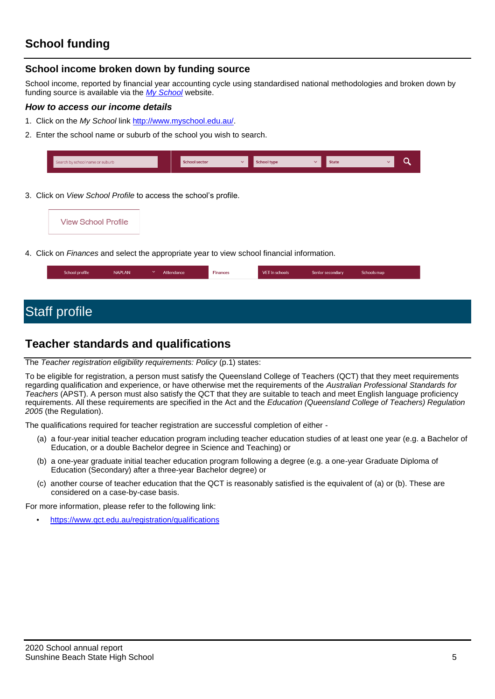# **School funding**

### **School income broken down by funding source**

School income, reported by financial year accounting cycle using standardised national methodologies and broken down by funding source is available via the *[My School](http://www.myschool.edu.au/)* website.

### *How to access our income details*

- 1. Click on the *My School* link [http://www.myschool.edu.au/.](http://www.myschool.edu.au/)
- 2. Enter the school name or suburb of the school you wish to search.

| Search by school name or suburb | <b>School sector</b> | $\checkmark$ | <b>School type</b> | <b>State</b> |  |
|---------------------------------|----------------------|--------------|--------------------|--------------|--|
|                                 |                      |              |                    |              |  |

3. Click on *View School Profile* to access the school's profile.



4. Click on *Finances* and select the appropriate year to view school financial information.

| School profile | <b>NAPLAN</b> | $\checkmark$ | Attendance | <b>Finances</b> | VET in schools | Senior secondary | Schools map |
|----------------|---------------|--------------|------------|-----------------|----------------|------------------|-------------|
|                |               |              |            |                 |                |                  |             |

# Staff profile

## **Teacher standards and qualifications**

### The *Teacher registration eligibility requirements: Policy* (p.1) states:

To be eligible for registration, a person must satisfy the Queensland College of Teachers (QCT) that they meet requirements regarding qualification and experience, or have otherwise met the requirements of the *Australian Professional Standards for Teachers* (APST). A person must also satisfy the QCT that they are suitable to teach and meet English language proficiency requirements. All these requirements are specified in the Act and the *Education (Queensland College of Teachers) Regulation 2005* (the Regulation).

The qualifications required for teacher registration are successful completion of either -

- (a) a four-year initial teacher education program including teacher education studies of at least one year (e.g. a Bachelor of Education, or a double Bachelor degree in Science and Teaching) or
- (b) a one-year graduate initial teacher education program following a degree (e.g. a one-year Graduate Diploma of Education (Secondary) after a three-year Bachelor degree) or
- (c) another course of teacher education that the QCT is reasonably satisfied is the equivalent of (a) or (b). These are considered on a case-by-case basis.

For more information, please refer to the following link:

• <https://www.qct.edu.au/registration/qualifications>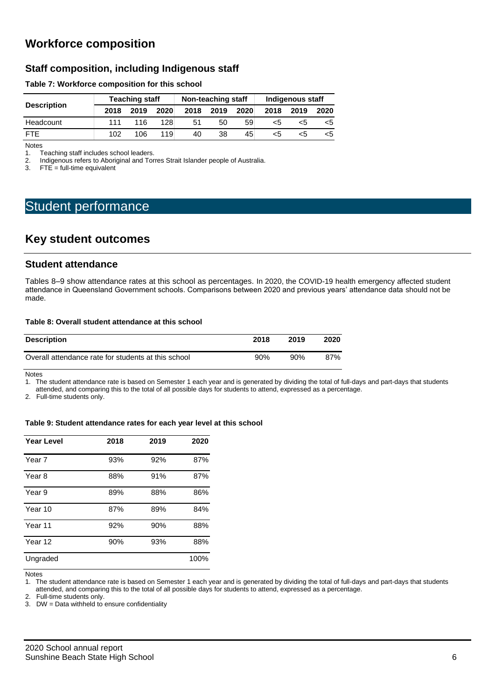# **Workforce composition**

### **Staff composition, including Indigenous staff**

### **Table 7: Workforce composition for this school**

|                    |      | <b>Teaching staff</b> |      |      | Non-teaching staff |      | Indigenous staff |      |      |  |
|--------------------|------|-----------------------|------|------|--------------------|------|------------------|------|------|--|
| <b>Description</b> | 2018 | 2019                  | 2020 | 2018 | 2019               | 2020 | 2018             | 2019 | 2020 |  |
| Headcount          | 111  | 116                   | 128  | 51   | 50                 | 59   | <5               | כ>   | <5   |  |
| <b>FTF</b>         | 102  | 106                   | 119  | 40   | 38                 | 45   |                  | ה>   | <5   |  |

Notes<br>1. T 1. Teaching staff includes school leaders.<br>2. Indigenous refers to Aboriginal and Tor

2. Indigenous refers to Aboriginal and Torres Strait Islander people of Australia.<br>3. FTE = full-time equivalent

 $FTE = full-time equivalent$ 

# Student performance

### **Key student outcomes**

### **Student attendance**

Tables 8–9 show attendance rates at this school as percentages. In 2020, the COVID-19 health emergency affected student attendance in Queensland Government schools. Comparisons between 2020 and previous years' attendance data should not be made.

### **Table 8: Overall student attendance at this school**

| <b>Description</b>                                  | 2018 | 2019 | 2020 |
|-----------------------------------------------------|------|------|------|
| Overall attendance rate for students at this school | 90%  | 90%  | 87%  |

Notes

1. The student attendance rate is based on Semester 1 each year and is generated by dividing the total of full-days and part-days that students attended, and comparing this to the total of all possible days for students to attend, expressed as a percentage.

2. Full-time students only.

### **Table 9: Student attendance rates for each year level at this school**

| <b>Year Level</b> | 2018 | 2019 | 2020 |
|-------------------|------|------|------|
| Year 7            | 93%  | 92%  | 87%  |
| Year 8            | 88%  | 91%  | 87%  |
| Year 9            | 89%  | 88%  | 86%  |
| Year 10           | 87%  | 89%  | 84%  |
| Year 11           | 92%  | 90%  | 88%  |
| Year 12           | 90%  | 93%  | 88%  |
| Ungraded          |      |      | 100% |

Notes

1. The student attendance rate is based on Semester 1 each year and is generated by dividing the total of full-days and part-days that students

attended, and comparing this to the total of all possible days for students to attend, expressed as a percentage.

2. Full-time students only.

3. DW = Data withheld to ensure confidentiality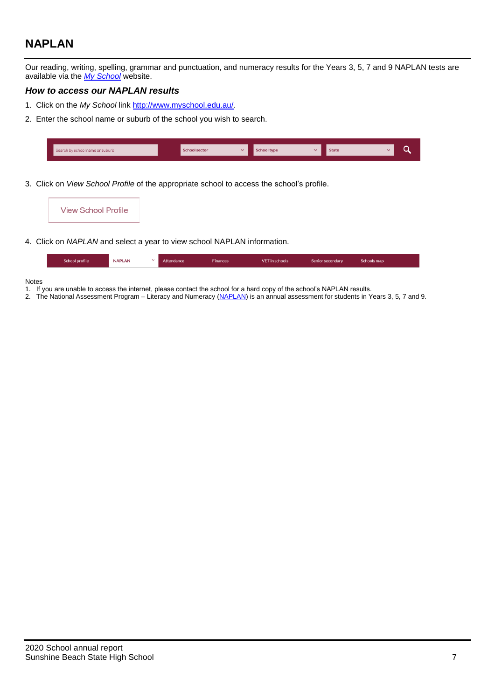# **NAPLAN**

Our reading, writing, spelling, grammar and punctuation, and numeracy results for the Years 3, 5, 7 and 9 NAPLAN tests are available via the *[My School](http://www.myschool.edu.au/)* website.

### *How to access our NAPLAN results*

- 1. Click on the *My School* link [http://www.myschool.edu.au/.](http://www.myschool.edu.au/)
- 2. Enter the school name or suburb of the school you wish to search.

| Search by school name or suburb | <b>School sector</b> | <b>Chool type</b> | <b>State</b> |  |
|---------------------------------|----------------------|-------------------|--------------|--|
|                                 |                      |                   |              |  |

3. Click on *View School Profile* of the appropriate school to access the school's profile.

| <b>View School Profile</b>                                                                                                                                                                                                         |  |  |
|------------------------------------------------------------------------------------------------------------------------------------------------------------------------------------------------------------------------------------|--|--|
| $\mathcal{L}$ . The set of the set of the set of the set of the set of the set of the set of the set of the set of the set of the set of the set of the set of the set of the set of the set of the set of the set of the set of t |  |  |

4. Click on *NAPLAN* and select a year to view school NAPLAN information.

| School profile | <b>NAPLAN</b> | Attendance | <b>Finances</b> | VET in schools | Senior secondary | Schools map |
|----------------|---------------|------------|-----------------|----------------|------------------|-------------|
|                |               |            |                 |                |                  |             |

### Notes

- 1. If you are unable to access the internet, please contact the school for a hard copy of the school's NAPLAN results.
- 2. The National Assessment Program Literacy and Numeracy [\(NAPLAN\)](http://www.nap.edu.au/naplan) is an annual assessment for students in Years 3, 5, 7 and 9.